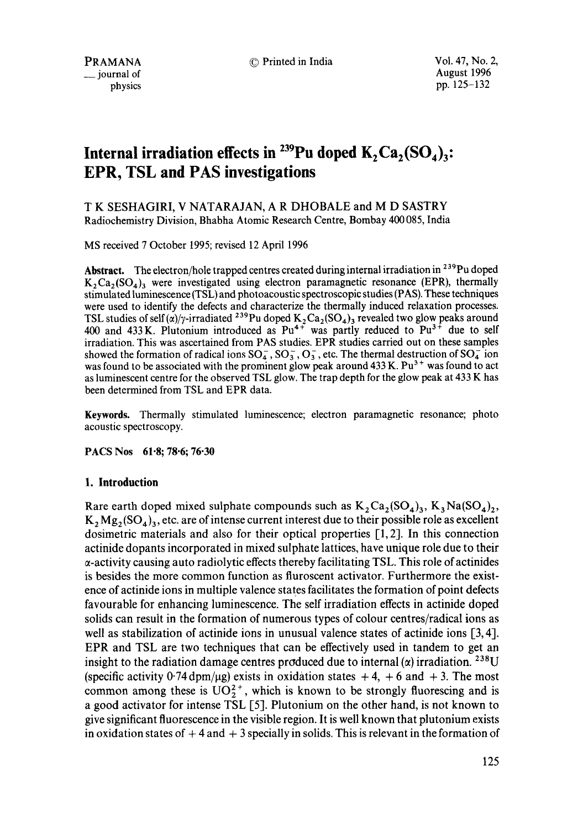© Printed in India Vol. 47, No. 2,

August 1996 pp. 125-132

# **Internal irradiation effects in <sup>239</sup>Pu doped**  $K_2$ **Ca<sub>2</sub>(SO<sub>4</sub>)<sub>3</sub>: EPR, TSL and PAS investigations**

T K SESHAGIRI, V NATARAJAN, A R DHOBALE and M D SASTRY Radiochemistry Division, Bhabha Atomic Research Centre, Bombay 400 085, India

MS received 7 October 1995; revised 12 April 1996

Abstract. The electron/hole trapped centres created during internal irradiation in <sup>239</sup>Pu doped  $K_2Ca_2(SO_4)$ <sub>3</sub> were investigated using electron paramagnetic resonance (EPR), thermally stimulated luminescence (TSL) and photoacoustic spectroscopic studies (PAS). These techniques were used to identify the defects and characterize the thermally induced relaxation processes. TSL studies of self  $\frac{\alpha}{r}$ -irradiated <sup>239</sup>Pu doped K<sub>2</sub>Ca<sub>2</sub>(SO<sub>4</sub>)<sub>3</sub> revealed two glow peaks around 400 and 433 K. Plutonium introduced as  $Pu^{4+}$  was partly reduced to  $Pu^{3+}$  due to self irradiation. This was ascertained from PAS studies. EPR studies carried out on these samples showed the formation of radical ions  $SO_4^-$ ,  $SO_3^-$ ,  $O_3^-$ , etc. The thermal destruction of  $SO_4^-$  ion was found to be associated with the prominent glow peak around  $433$  K. Pu<sup>3+</sup> was found to act as luminescent centre for the observed TSL glow. The trap depth for the glow peak at 433 K has been determined from TSL and EPR data.

**Keywords.** Thermally stimulated luminescence; electron paramagnetic resonance; photo acoustic spectroscopy.

**PACS Nos 61.8; 78.6; 76.30** 

## **1. Introduction**

Rare earth doped mixed sulphate compounds such as  $K_2Ca_2(SO_4)_3$ ,  $K_3Na(SO_4)_2$ ,  $K_2 Mg_2 (SO_4)_3$ , etc. are of intense current interest due to their possible role as excellent dosimetric materials and also for their optical properties [1, 2]. In this connection actinide dopants incorporated in mixed sulphate lattices, have unique role due to their  $\alpha$ -activity causing auto radiolytic effects thereby facilitating TSL. This role of actinides is besides the more common function as fluroscent activator. Furthermore the existence of actinide ions in multiple valence states facilitates the formation of point defects favourable for enhancing luminescence. The self irradiation effects in actinide doped solids can result in the formation of numerous types of colour centres/radical ions as well as stabilization of actinide ions in unusual valence states of actinide ions [3, 4]. EPR and TSL are two techniques that can be effectively used in tandem to get an insight to the radiation damage centres produced due to internal ( $\alpha$ ) irradiation. <sup>238</sup>U (specific activity 0.74 dpm/ $\mu$ g) exists in oxidation states  $+4$ ,  $+6$  and  $+3$ . The most common among these is  $UO_2^{2+}$ , which is known to be strongly fluorescing and is a good activator for intense TSL [5]. Plutonium on the other hand, is not known to give significant fluorescence in the visible region. It is well known that plutonium exists in oxidation states of  $+4$  and  $+3$  specially in solids. This is relevant in the formation of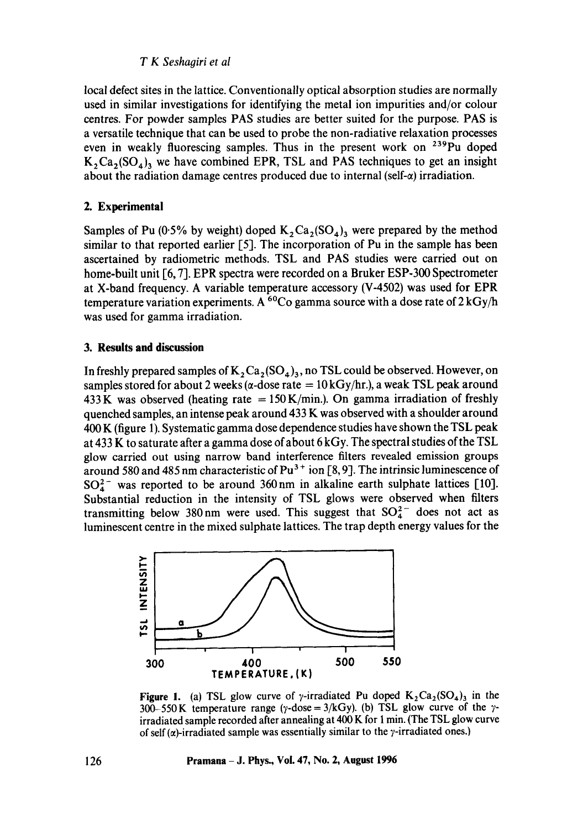## *T K Seshagiri et al*

local defect sites in the lattice. Conventionally optical absorption studies are normally used in similar investigations for identifying the metal ion impurities and/or colour centres. For powder samples PAS studies are better suited for the purpose. PAS is a versatile technique that can be used to probe the non-radiative relaxation processes even in weakly fluorescing samples. Thus in the present work on <sup>239</sup>Pu doped  $K_2Ca_2(SO_4)$ <sub>3</sub> we have combined EPR, TSL and PAS techniques to get an insight about the radiation damage centres produced due to internal (self- $\alpha$ ) irradiation.

# **2. Experimental**

Samples of Pu (0.5% by weight) doped  $K_2Ca_2(SO_4)$  were prepared by the method similar to that reported earlier [5]. The incorporation of Pu in the sample has been ascertained by radiometric methods. TSL and PAS studies were carried out on home-built unit [6, 7]. EPR spectra were recorded on a Bruker ESP-300 Spectrometer at X-band frequency. A variable temperature accessory (V-4502) was used for EPR temperature variation experiments. A <sup>60</sup>Co gamma source with a dose rate of  $2 \text{ kGy/h}$ was used for gamma irradiation.

## **3. Results and discussion**

In freshly prepared samples of  $K_2$  Ca<sub>2</sub>(SO<sub>4</sub>)<sub>3</sub>, no TSL could be observed. However, on samples stored for about 2 weeks ( $\alpha$ -dose rate = 10 kGy/hr.), a weak TSL peak around 433 K was observed (heating rate  $= 150$  K/min.). On gamma irradiation of freshly quenched samples, an intense peak around  $433$  K was observed with a shoulder around 400 K (figure 1). Systematic gamma dose dependence studies have shown the TSL peak at 433 K to saturate after a gamma dose of about 6 kGy. The spectral studies of the TSL glow carried out using narrow band interference filters revealed emission groups around 580 and 485 nm characteristic of  $Pu^{3+}$  ion [8, 9]. The intrinsic luminescence of  $SO_4^{2-}$  was reported to be around 360 nm in alkaline earth sulphate lattices [10]. Substantial reduction in the intensity of TSL glows were observed when filters transmitting below 380 nm were used. This suggest that  $SO_4^{2-}$  does not act as luminescent centre in the mixed sulphate lattices. The trap depth energy values for the



Figure 1. (a) TSL glow curve of y-irradiated Pu doped  $K_2Ca_2(SO_4)$ <sub>3</sub> in the 300-550 K temperature range (y-dose =  $3/kGy$ ). (b) TSL glow curve of the yirradiated sample recorded after annealing at 400 K for 1 min. (The TSL glow curve of self ( $\alpha$ )-irradiated sample was essentially similar to the *y*-irradiated ones.)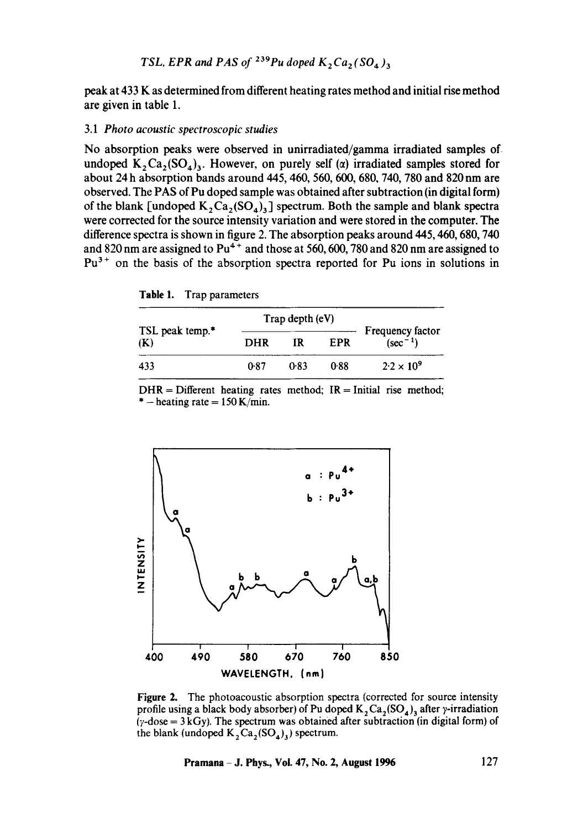peak at 433 K as determined from different heating rates method and initial rise method are given in table 1.

#### 3.1 *Photo acoustic spectroscopic studies*

No absorption peaks were observed in unirradiated/gamma irradiated samples of undoped  $K_2C_3(SO_4)$ . However, on purely self ( $\alpha$ ) irradiated samples stored for about 24 h absorption bands around 445, 460, 560, 600, 680, 740, 780 and 820 nm are observed. The PAS of Pu doped sample was obtained after subtraction (in digital form) of the blank [undoped  $K_2C_4(G_4)$ ] spectrum. Both the sample and blank spectra were corrected for the source intensity variation and were stored in the computer. The difference spectra is shown in figure 2. The absorption peaks around 445, 460, 680, 740 and 820 nm are assigned to  $Pu^{4+}$  and those at 560, 600, 780 and 820 nm are assigned to  $Pu<sup>3+</sup>$  on the basis of the absorption spectra reported for Pu ions in solutions in

| Table 1. | Trap parameters |
|----------|-----------------|
|----------|-----------------|

|                                    |            | Trap depth (eV) |            |                                          |
|------------------------------------|------------|-----------------|------------|------------------------------------------|
| TSL peak temp. <sup>*</sup><br>(K) | <b>DHR</b> | IR              | <b>FPR</b> | <b>Frequency factor</b><br>$(\sec^{-1})$ |
| 433                                | ቡ87        | 0.83            | 0.88       | $2.2 \times 10^{9}$                      |

 $DHR =$  Different heating rates method;  $IR =$ Initial rise method; \*  $-$  heating rate = 150 K/min.



Figure 2. The photoacoustic absorption spectra (corrected for source intensity profile using a black body absorber) of Pu doped  $K_2 Ca_2(SO_4)$  after y-irradiation  $(y$ -dose = 3 kGy). The spectrum was obtained after subtraction (in digital form) of the blank (undoped  $K_2Ca_2(SO_4)_3$ ) spectrum.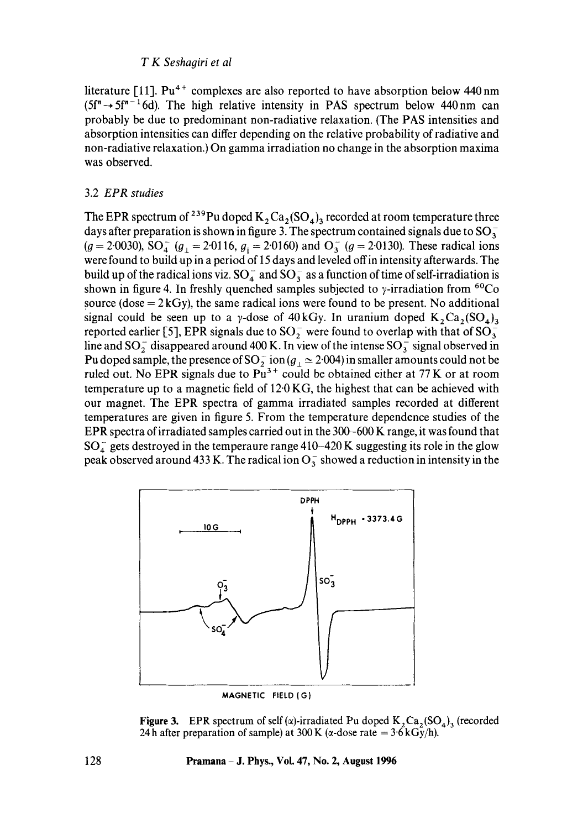## *T K Seshagiri et al*

literature [11].  $Pu^{4+}$  complexes are also reported to have absorption below 440 nm  $(5f'' \rightarrow 5f''^{-1}6d)$ . The high relative intensity in PAS spectrum below 440 nm can probably be due to predominant non-radiative relaxation. (The PAS intensities and absorption intensities can differ depending on the relative probability of radiative and non-radiative relaxation.) On gamma irradiation no change in the absorption maxima was observed.

### 3.2 *EPR studies*

The EPR spectrum of <sup>239</sup>Pu doped  $K_2$ Ca<sub>2</sub>(SO<sub>4</sub>)<sub>3</sub> recorded at room temperature three days after preparation is shown in figure 3. The spectrum contained signals due to  $SO_3^ (g = 2.0030)$ , SO<sub>4</sub>  $(g<sub>1</sub> = 2.0116, g<sub>1</sub> = 2.0160)$  and O<sub>3</sub>  $(g = 2.0130)$ . These radical ions were found to build up in a period of 15 days and leveled offin intensity afterwards. The build up of the radical ions viz.  $SO_4^-$  and  $SO_3^-$  as a function of time of self-irradiation is shown in figure 4. In freshly quenched samples subjected to  $\gamma$ -irradiation from <sup>60</sup>Co source (dose  $= 2kGy$ ), the same radical ions were found to be present. No additional signal could be seen up to a y-dose of 40 kGy. In uranium doped  $K_2Ca_2(SO_4)$ reported earlier [5], EPR signals due to  $SO_2^-$  were found to overlap with that of  $SO_3^$ line and  $SO_2^-$  disappeared around 400 K. In view of the intense  $SO_3^-$  signal observed in Pu doped sample, the presence of  $SO_2^+$  ion ( $g_{\perp} \simeq 2.004$ ) in smaller amounts could not be ruled out. No EPR signals due to  $\mu$ <sup>3+</sup> could be obtained either at 77 K or at room temperature up to a magnetic field of 12.0 KG, the highest that can be achieved with our magnet. The EPR spectra of gamma irradiated samples recorded at different temperatures are given in figure 5. From the temperature dependence studies of the EPR spectra of irradiated samples carried out in the 300-600 K range, it was found that  $SO_4^-$  gets destroyed in the temperaure range 410-420 K suggesting its role in the glow peak observed around 433 K. The radical ion  $O_3^-$  showed a reduction in intensity in the



**Figure 3.** EPR spectrum of self ( $\alpha$ )-irradiated Pu doped  $K_2Ca_2(SO_4)$ <sub>3</sub> (recorded 24 h after preparation of sample) at 300 K ( $\alpha$ -dose rate =  $3.6$  kGy/h).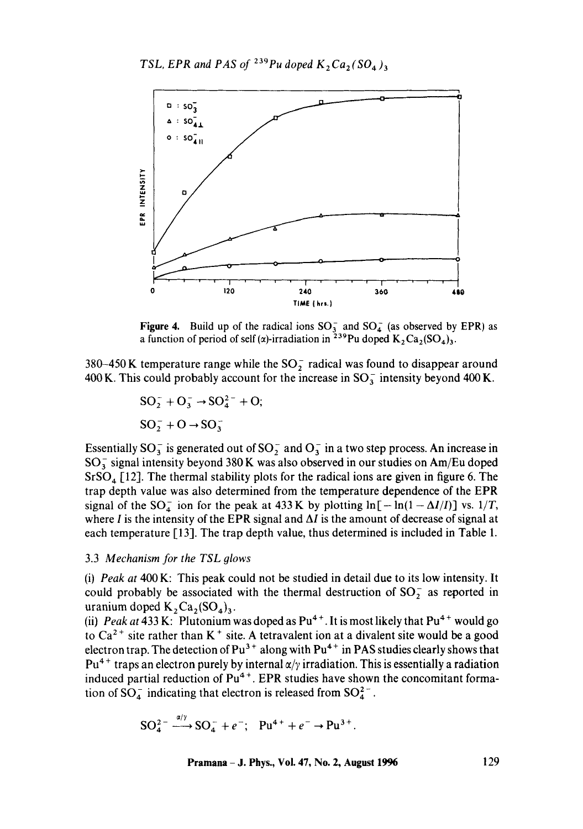

**Figure 4.** Build up of the radical ions  $SO_3^-$  and  $SO_4^-$  (as observed by EPR) as a function of period of self ( $\alpha$ )-irradiation in <sup>239</sup>Pu doped K<sub>2</sub>Ca<sub>2</sub>(SO<sub>4</sub>)<sub>3</sub>.

380-450 K temperature range while the  $SO_2^-$  radical was found to disappear around 400 K. This could probably account for the increase in  $SO_3^-$  intensity beyond 400 K.

$$
SO_2^- + O_3^- \rightarrow SO_4^{2-} + O;
$$
  

$$
SO_2^- + O \rightarrow SO_3^-
$$

Essentially  $SO_3^-$  is generated out of  $SO_2^-$  and  $O_3^-$  in a two step process. An increase in  $SO_3^-$  signal intensity beyond 380 K was also observed in our studies on Am/Eu doped  $SrSO<sub>4</sub>$  [12]. The thermal stability plots for the radical ions are given in figure 6. The trap depth value was also determined from the temperature dependence of the EPR signal of the SO<sub>4</sub> ion for the peak at 433 K by plotting  $\ln[-\ln(1 - \Delta I/I)]$  vs. 1/T, where I is the intensity of the EPR signal and  $\Delta I$  is the amount of decrease of signal at each temperature [13]. The trap depth value, thus determined is included in Table 1.

#### 3.3 *Mechanism for the TSL glows*

(i) *Peak at* 400 K: This peak could not be studied in detail due to its low intensity. It could probably be associated with the thermal destruction of  $SO_2^-$  as reported in uranium doped  $K_2Ca_2(SO_4)_3$ .

(ii) *Peak at* 433 K: Plutonium was doped as  $Pu^{4+}$ . It is most likely that  $Pu^{4+}$  would go to Ca<sup>2+</sup> site rather than K<sup>+</sup> site. A tetravalent ion at a divalent site would be a good electron trap. The detection of  $Pu^{3+}$  along with  $Pu^{4+}$  in PAS studies clearly shows that  $Pu<sup>4+</sup>$  traps an electron purely by internal  $\alpha/\gamma$  irradiation. This is essentially a radiation induced partial reduction of  $Pu^{4+}$ . EPR studies have shown the concomitant formation of  $SO_4^-$  indicating that electron is released from  $SO_4^{2-}$ .

$$
SO_4^{2-} \xrightarrow{a/\gamma} SO_4^- + e^-; \quad Pu^{4+} + e^- \rightarrow Pu^{3+}.
$$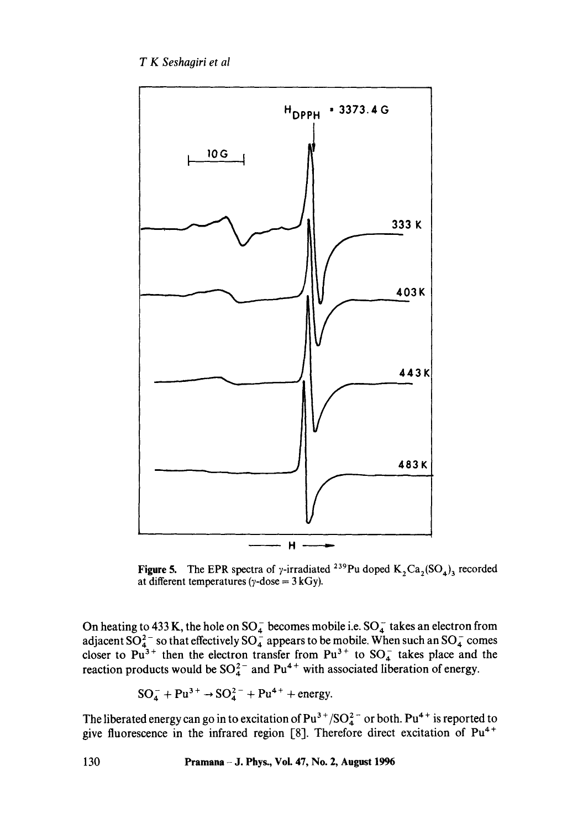

Figure 5. The EPR spectra of y-irradiated <sup>239</sup>Pu doped  $K_2Ca_2(SO_4)$ <sub>3</sub> recorded at different temperatures ( $\gamma$ -dose = 3 kGy).

On heating to 433 K, the hole on  $\rm SO_4^-$  becomes mobile i.e.  $\rm SO_4^-$  takes an electron from adjacent SO $_4^2$  so that effectively SO $_4^2$  appears to be mobile. When such an SO $_4^2$  comes closer to Pu<sup>3+</sup> then the electron transfer from Pu<sup>3+</sup> to SO<sub>4</sub> takes place and the reaction products would be  $SO_4^{-}$  and Pu<sup>4+</sup> with associated liberation of energy.

$$
SO_4^- + Pu^{3+} \rightarrow SO_4^{2-} + Pu^{4+} + energy.
$$

The liberated energy can go in to excitation of  $Pu^{3+}/SO_4^{2-}$  or both.  $Pu^{4+}$  is reported to give fluorescence in the infrared region [8]. Therefore direct excitation of  $Pu^{4+}$ 

**130 Pramana - J. Phys., Vol. 47, No. 2, August 1996**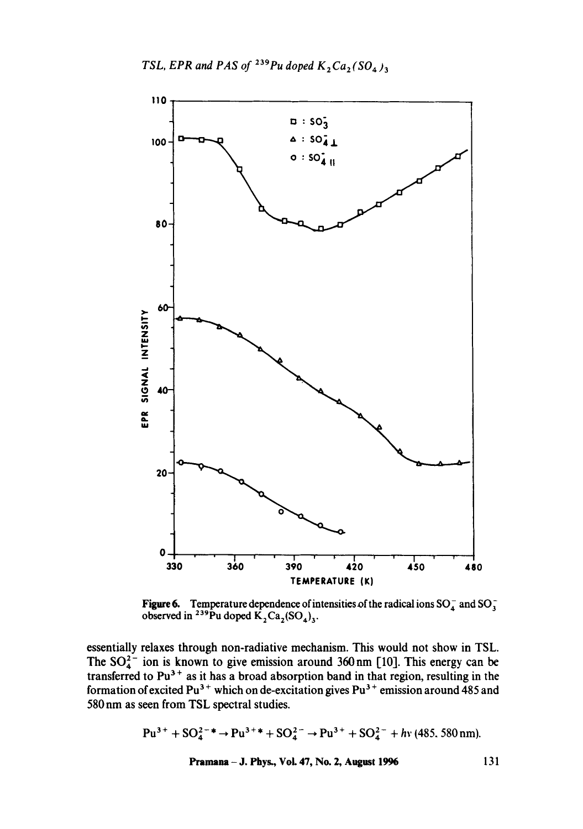

**Figure 6.** Temperature dependence of intensities of the radical ions  $SO_4^-$  and  $SO_3^$ observed in <sup>239</sup>Pu doped  $K_2Ca_2(SO_4)_{3}$ .

essentially relaxes through non-radiative mechanism. This would not show in TSL. The  $SO_4^{\prime-}$  ion is known to give emission around 360 nm [10]. This energy can be transferred to  $Pu^*$  as it has a broad absorption band in that region, resulting in the formation of excited Pu<sup>3+</sup> which on de-excitation gives Pu<sup>3+</sup> emission around 485 and 580 nm as seen from TSL spectral studies.

$$
Pu^{3+} + SO_4^{2-*} \to Pu^{3+} + SO_4^{2-} \to Pu^{3+} + SO_4^{2-} + hv \text{ (485, 580 nm)}.
$$
\nPramana – J. Phys., Vol. 47, No. 2, August 1996

\n131